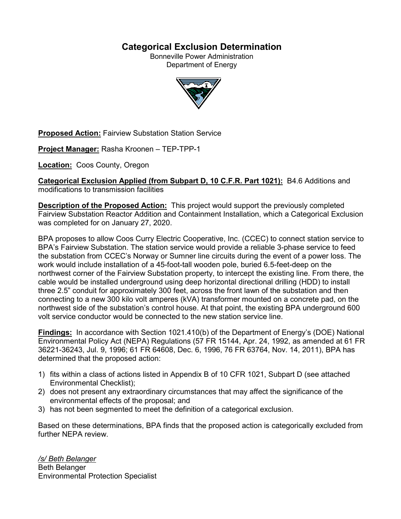# **Categorical Exclusion Determination**

Bonneville Power Administration Department of Energy



**Proposed Action:** Fairview Substation Station Service

**Project Manager:** Rasha Kroonen – TEP-TPP-1

**Location:** Coos County, Oregon

**Categorical Exclusion Applied (from Subpart D, 10 C.F.R. Part 1021):** B4.6 Additions and modifications to transmission facilities

**Description of the Proposed Action:** This project would support the previously completed Fairview Substation Reactor Addition and Containment Installation, which a Categorical Exclusion was completed for on January 27, 2020.

BPA proposes to allow Coos Curry Electric Cooperative, Inc. (CCEC) to connect station service to BPA's Fairview Substation. The station service would provide a reliable 3-phase service to feed the substation from CCEC's Norway or Sumner line circuits during the event of a power loss. The work would include installation of a 45-foot-tall wooden pole, buried 6.5-feet-deep on the northwest corner of the Fairview Substation property, to intercept the existing line. From there, the cable would be installed underground using deep horizontal directional drilling (HDD) to install three 2.5" conduit for approximately 300 feet, across the front lawn of the substation and then connecting to a new 300 kilo volt amperes (kVA) transformer mounted on a concrete pad, on the northwest side of the substation's control house. At that point, the existing BPA underground 600 volt service conductor would be connected to the new station service line.

**Findings:** In accordance with Section 1021.410(b) of the Department of Energy's (DOE) National Environmental Policy Act (NEPA) Regulations (57 FR 15144, Apr. 24, 1992, as amended at 61 FR 36221-36243, Jul. 9, 1996; 61 FR 64608, Dec. 6, 1996, 76 FR 63764, Nov. 14, 2011), BPA has determined that the proposed action:

- 1) fits within a class of actions listed in Appendix B of 10 CFR 1021, Subpart D (see attached Environmental Checklist);
- 2) does not present any extraordinary circumstances that may affect the significance of the environmental effects of the proposal; and
- 3) has not been segmented to meet the definition of a categorical exclusion.

Based on these determinations, BPA finds that the proposed action is categorically excluded from further NEPA review.

*/s/ Beth Belanger* Beth Belanger Environmental Protection Specialist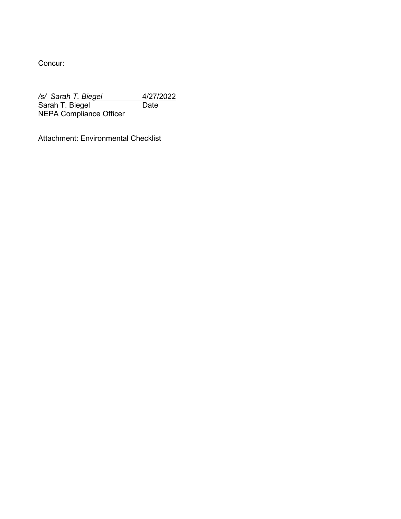Concur:

*/s/ Sarah T. Biegel* 4/27/2022 Sarah T. Biegel Date NEPA Compliance Officer

Attachment: Environmental Checklist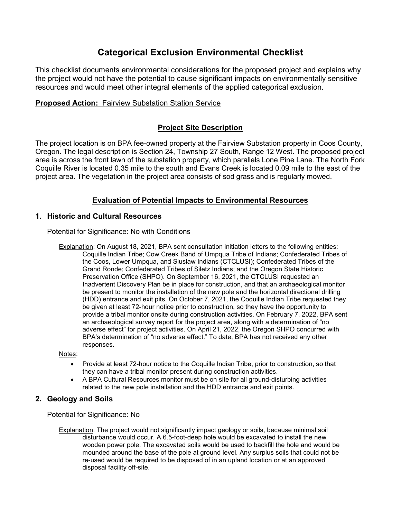# **Categorical Exclusion Environmental Checklist**

This checklist documents environmental considerations for the proposed project and explains why the project would not have the potential to cause significant impacts on environmentally sensitive resources and would meet other integral elements of the applied categorical exclusion.

# **Proposed Action: Fairview Substation Station Service**

# **Project Site Description**

The project location is on BPA fee-owned property at the Fairview Substation property in Coos County, Oregon. The legal description is Section 24, Township 27 South, Range 12 West. The proposed project area is across the front lawn of the substation property, which parallels Lone Pine Lane. The North Fork Coquille River is located 0.35 mile to the south and Evans Creek is located 0.09 mile to the east of the project area. The vegetation in the project area consists of sod grass and is regularly mowed.

# **Evaluation of Potential Impacts to Environmental Resources**

## **1. Historic and Cultural Resources**

Potential for Significance: No with Conditions

Explanation: On August 18, 2021, BPA sent consultation initiation letters to the following entities: Coquille Indian Tribe; Cow Creek Band of Umpqua Tribe of Indians; Confederated Tribes of the Coos, Lower Umpqua, and Siuslaw Indians (CTCLUSI); Confederated Tribes of the Grand Ronde; Confederated Tribes of Siletz Indians; and the Oregon State Historic Preservation Office (SHPO). On September 16, 2021, the CTCLUSI requested an Inadvertent Discovery Plan be in place for construction, and that an archaeological monitor be present to monitor the installation of the new pole and the horizontal directional drilling (HDD) entrance and exit pits. On October 7, 2021, the Coquille Indian Tribe requested they be given at least 72-hour notice prior to construction, so they have the opportunity to provide a tribal monitor onsite during construction activities. On February 7, 2022, BPA sent an archaeological survey report for the project area, along with a determination of "no adverse effect" for project activities. On April 21, 2022, the Oregon SHPO concurred with BPA's determination of "no adverse effect." To date, BPA has not received any other responses.

#### Notes:

- Provide at least 72-hour notice to the Coquille Indian Tribe, prior to construction, so that they can have a tribal monitor present during construction activities.
- A BPA Cultural Resources monitor must be on site for all ground-disturbing activities related to the new pole installation and the HDD entrance and exit points.

### **2. Geology and Soils**

Potential for Significance: No

Explanation: The project would not significantly impact geology or soils, because minimal soil disturbance would occur. A 6.5-foot-deep hole would be excavated to install the new wooden power pole. The excavated soils would be used to backfill the hole and would be mounded around the base of the pole at ground level. Any surplus soils that could not be re-used would be required to be disposed of in an upland location or at an approved disposal facility off-site.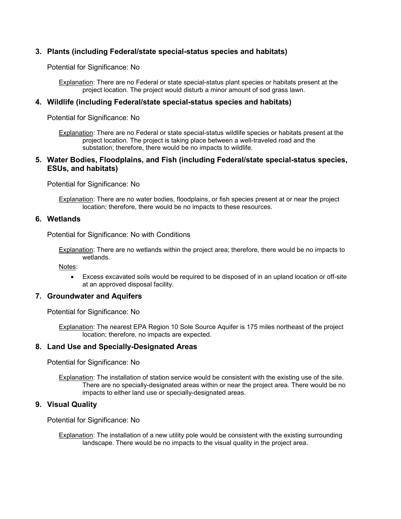### **3. Plants (including Federal/state special-status species and habitats)**

Potential for Significance: No

Explanation: There are no Federal or state special-status plant species or habitats present at the project location. The project would disturb a minor amount of sod grass lawn.

#### **4. Wildlife (including Federal/state special-status species and habitats)**

Potential for Significance: No

Explanation: There are no Federal or state special-status wildlife species or habitats present at the project location. The project is taking place between a well-traveled road and the substation; therefore, there would be no impacts to wildlife.

#### **5. Water Bodies, Floodplains, and Fish (including Federal/state special-status species, ESUs, and habitats)**

Potential for Significance: No

Explanation: There are no water bodies, floodplains, or fish species present at or near the project location; therefore, there would be no impacts to these resources.

#### **6. Wetlands**

Potential for Significance: No with Conditions

Explanation: There are no wetlands within the project area; therefore, there would be no impacts to wetlands.

Notes:

• Excess excavated soils would be required to be disposed of in an upland location or off-site at an approved disposal facility.

#### **7. Groundwater and Aquifers**

Potential for Significance: No

Explanation: The nearest EPA Region 10 Sole Source Aquifer is 175 miles northeast of the project location; therefore, no impacts are expected.

#### **8. Land Use and Specially-Designated Areas**

Potential for Significance: No

Explanation: The installation of station service would be consistent with the existing use of the site. There are no specially-designated areas within or near the project area. There would be no impacts to either land use or specially-designated areas.

#### **9. Visual Quality**

Potential for Significance: No

Explanation: The installation of a new utility pole would be consistent with the existing surrounding landscape. There would be no impacts to the visual quality in the project area.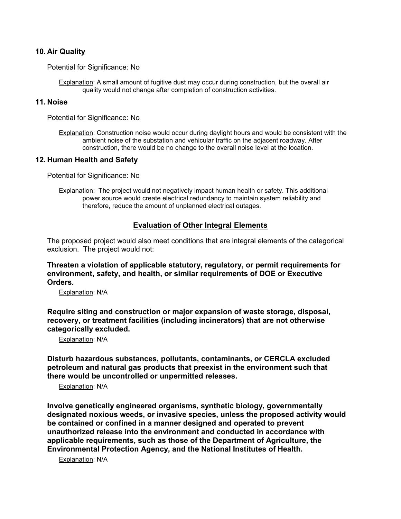#### **10. Air Quality**

Potential for Significance: No

Explanation: A small amount of fugitive dust may occur during construction, but the overall air quality would not change after completion of construction activities.

#### **11. Noise**

Potential for Significance: No

Explanation: Construction noise would occur during daylight hours and would be consistent with the ambient noise of the substation and vehicular traffic on the adjacent roadway. After construction, there would be no change to the overall noise level at the location.

#### **12. Human Health and Safety**

Potential for Significance: No

Explanation: The project would not negatively impact human health or safety. This additional power source would create electrical redundancy to maintain system reliability and therefore, reduce the amount of unplanned electrical outages.

#### **Evaluation of Other Integral Elements**

The proposed project would also meet conditions that are integral elements of the categorical exclusion. The project would not:

**Threaten a violation of applicable statutory, regulatory, or permit requirements for environment, safety, and health, or similar requirements of DOE or Executive Orders.**

Explanation: N/A

**Require siting and construction or major expansion of waste storage, disposal, recovery, or treatment facilities (including incinerators) that are not otherwise categorically excluded.**

Explanation: N/A

**Disturb hazardous substances, pollutants, contaminants, or CERCLA excluded petroleum and natural gas products that preexist in the environment such that there would be uncontrolled or unpermitted releases.**

Explanation: N/A

**Involve genetically engineered organisms, synthetic biology, governmentally designated noxious weeds, or invasive species, unless the proposed activity would be contained or confined in a manner designed and operated to prevent unauthorized release into the environment and conducted in accordance with applicable requirements, such as those of the Department of Agriculture, the Environmental Protection Agency, and the National Institutes of Health.**

Explanation: N/A